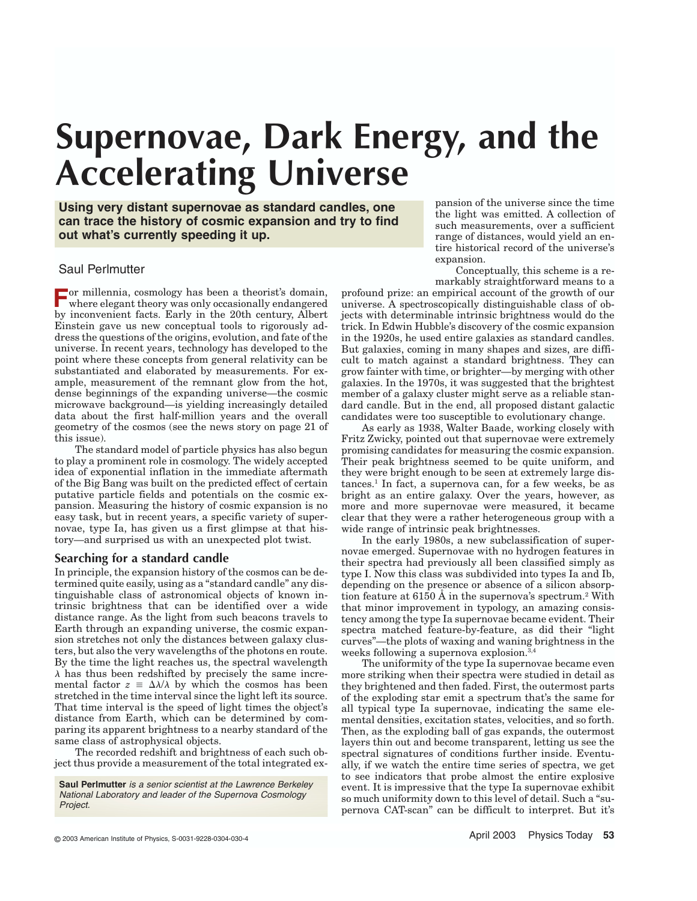# **Supernovae, Dark Energy, and the Accelerating Universe**

**Using very distant supernovae as standard candles, one can trace the history of cosmic expansion and try to find out what's currently speeding it up.**

## Saul Perlmutter

**For millennia**, cosmology has been a theorist's domain, where elegant theory was only occasionally endangered by inconvenient facts. Early in the 20th century, Albert Einstein gave us new conceptual tools to rigorously address the questions of the origins, evolution, and fate of the universe. In recent years, technology has developed to the point where these concepts from general relativity can be substantiated and elaborated by measurements. For example, measurement of the remnant glow from the hot, dense beginnings of the expanding universe—the cosmic microwave background—is yielding increasingly detailed data about the first half-million years and the overall geometry of the cosmos (see the news story on page 21 of this issue).

The standard model of particle physics has also begun to play a prominent role in cosmology. The widely accepted idea of exponential inflation in the immediate aftermath of the Big Bang was built on the predicted effect of certain putative particle fields and potentials on the cosmic expansion. Measuring the history of cosmic expansion is no easy task, but in recent years, a specific variety of supernovae, type Ia, has given us a first glimpse at that history—and surprised us with an unexpected plot twist.

#### **Searching for a standard candle**

In principle, the expansion history of the cosmos can be determined quite easily, using as a "standard candle" any distinguishable class of astronomical objects of known intrinsic brightness that can be identified over a wide distance range. As the light from such beacons travels to Earth through an expanding universe, the cosmic expansion stretches not only the distances between galaxy clusters, but also the very wavelengths of the photons en route. By the time the light reaches us, the spectral wavelength  $\lambda$  has thus been redshifted by precisely the same incremental factor  $z = \Delta \lambda / \lambda$  by which the cosmos has been stretched in the time interval since the light left its source. That time interval is the speed of light times the object's distance from Earth, which can be determined by comparing its apparent brightness to a nearby standard of the same class of astrophysical objects.

The recorded redshift and brightness of each such object thus provide a measurement of the total integrated ex-

**Saul Perlmutter** is a senior scientist at the Lawrence Berkeley National Laboratory and leader of the Supernova Cosmology Project.

pansion of the universe since the time the light was emitted. A collection of such measurements, over a sufficient range of distances, would yield an entire historical record of the universe's expansion.

Conceptually, this scheme is a remarkably straightforward means to a

profound prize: an empirical account of the growth of our universe. A spectroscopically distinguishable class of objects with determinable intrinsic brightness would do the trick. In Edwin Hubble's discovery of the cosmic expansion in the 1920s, he used entire galaxies as standard candles. But galaxies, coming in many shapes and sizes, are difficult to match against a standard brightness. They can grow fainter with time, or brighter—by merging with other galaxies. In the 1970s, it was suggested that the brightest member of a galaxy cluster might serve as a reliable standard candle. But in the end, all proposed distant galactic candidates were too susceptible to evolutionary change.

As early as 1938, Walter Baade, working closely with Fritz Zwicky, pointed out that supernovae were extremely promising candidates for measuring the cosmic expansion. Their peak brightness seemed to be quite uniform, and they were bright enough to be seen at extremely large dis $tances<sup>1</sup>$  In fact, a supernova can, for a few weeks, be as bright as an entire galaxy. Over the years, however, as more and more supernovae were measured, it became clear that they were a rather heterogeneous group with a wide range of intrinsic peak brightnesses.

In the early 1980s, a new subclassification of supernovae emerged. Supernovae with no hydrogen features in their spectra had previously all been classified simply as type I. Now this class was subdivided into types Ia and Ib, depending on the presence or absence of a silicon absorption feature at 6150 Å in the supernova's spectrum.2 With that minor improvement in typology, an amazing consistency among the type Ia supernovae became evident. Their spectra matched feature-by-feature, as did their "light curves"—the plots of waxing and waning brightness in the weeks following a supernova explosion.<sup>3,4</sup>

The uniformity of the type Ia supernovae became even more striking when their spectra were studied in detail as they brightened and then faded. First, the outermost parts of the exploding star emit a spectrum that's the same for all typical type Ia supernovae, indicating the same elemental densities, excitation states, velocities, and so forth. Then, as the exploding ball of gas expands, the outermost layers thin out and become transparent, letting us see the spectral signatures of conditions further inside. Eventually, if we watch the entire time series of spectra, we get to see indicators that probe almost the entire explosive event. It is impressive that the type Ia supernovae exhibit so much uniformity down to this level of detail. Such a "supernova CAT-scan" can be difficult to interpret. But it's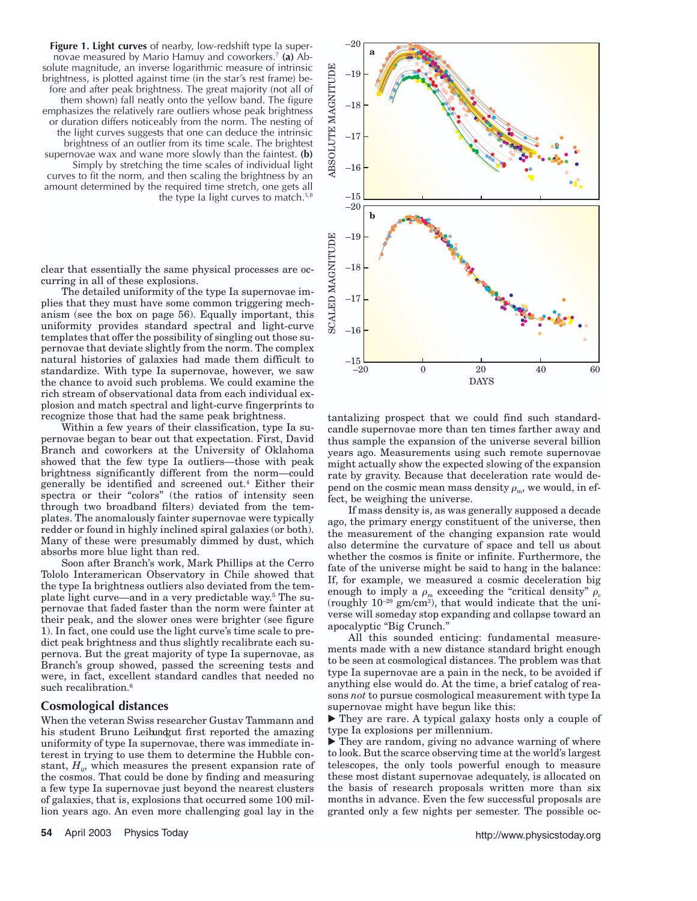**Figure 1. Light curves** of nearby, low-redshift type Ia supernovae measured by Mario Hamuy and coworkers.7 **(a)** Absolute magnitude, an inverse logarithmic measure of intrinsic brightness, is plotted against time (in the star's rest frame) before and after peak brightness. The great majority (not all of them shown) fall neatly onto the yellow band. The figure emphasizes the relatively rare outliers whose peak brightness or duration differs noticeably from the norm. The nesting of the light curves suggests that one can deduce the intrinsic brightness of an outlier from its time scale. The brightest supernovae wax and wane more slowly than the faintest. **(b)** Simply by stretching the time scales of individual light curves to fit the norm, and then scaling the brightness by an amount determined by the required time stretch, one gets all the type Ia light curves to match. $5,8$ 

clear that essentially the same physical processes are occurring in all of these explosions.

The detailed uniformity of the type Ia supernovae implies that they must have some common triggering mechanism (see the box on page 56). Equally important, this uniformity provides standard spectral and light-curve templates that offer the possibility of singling out those supernovae that deviate slightly from the norm. The complex natural histories of galaxies had made them difficult to standardize. With type Ia supernovae, however, we saw the chance to avoid such problems. We could examine the rich stream of observational data from each individual explosion and match spectral and light-curve fingerprints to recognize those that had the same peak brightness.

Within a few years of their classification, type Ia supernovae began to bear out that expectation. First, David Branch and coworkers at the University of Oklahoma showed that the few type Ia outliers—those with peak brightness significantly different from the norm—could generally be identified and screened out.4 Either their spectra or their "colors" (the ratios of intensity seen through two broadband filters) deviated from the templates. The anomalously fainter supernovae were typically redder or found in highly inclined spiral galaxies (or both). Many of these were presumably dimmed by dust, which absorbs more blue light than red.

Soon after Branch's work, Mark Phillips at the Cerro Tololo Interamerican Observatory in Chile showed that the type Ia brightness outliers also deviated from the template light curve—and in a very predictable way.5 The supernovae that faded faster than the norm were fainter at their peak, and the slower ones were brighter (see figure 1). In fact, one could use the light curve's time scale to predict peak brightness and thus slightly recalibrate each supernova. But the great majority of type Ia supernovae, as Branch's group showed, passed the screening tests and were, in fact, excellent standard candles that needed no such recalibration.<sup>6</sup>

#### **Cosmological distances**

When the veteran Swiss researcher Gustav Tammann and his student Bruno Leibundgut first reported the amazing uniformity of type Ia supernovae, there was immediate interest in trying to use them to determine the Hubble constant,  $H_0$ , which measures the present expansion rate of the cosmos. That could be done by finding and measuring a few type Ia supernovae just beyond the nearest clusters of galaxies, that is, explosions that occurred some 100 million years ago. An even more challenging goal lay in the



tantalizing prospect that we could find such standardcandle supernovae more than ten times farther away and thus sample the expansion of the universe several billion years ago. Measurements using such remote supernovae might actually show the expected slowing of the expansion rate by gravity. Because that deceleration rate would depend on the cosmic mean mass density  $\rho_m$ , we would, in effect, be weighing the universe.

If mass density is, as was generally supposed a decade ago, the primary energy constituent of the universe, then the measurement of the changing expansion rate would also determine the curvature of space and tell us about whether the cosmos is finite or infinite. Furthermore, the fate of the universe might be said to hang in the balance: If, for example, we measured a cosmic deceleration big enough to imply a  $\rho_m$  exceeding the "critical density"  $\rho_c$  $($ roughly  $10^{-29}$  gm/cm<sup>3</sup> $)$ , that would indicate that the universe will someday stop expanding and collapse toward an apocalyptic "Big Crunch."

All this sounded enticing: fundamental measurements made with a new distance standard bright enough to be seen at cosmological distances. The problem was that type Ia supernovae are a pain in the neck, to be avoided if anything else would do. At the time, a brief catalog of reasons *not* to pursue cosmological measurement with type Ia supernovae might have begun like this:

 They are rare. A typical galaxy hosts only a couple of type Ia explosions per millennium.

 $\blacktriangleright$  They are random, giving no advance warning of where to look. But the scarce observing time at the world's largest telescopes, the only tools powerful enough to measure these most distant supernovae adequately, is allocated on the basis of research proposals written more than six months in advance. Even the few successful proposals are granted only a few nights per semester. The possible oc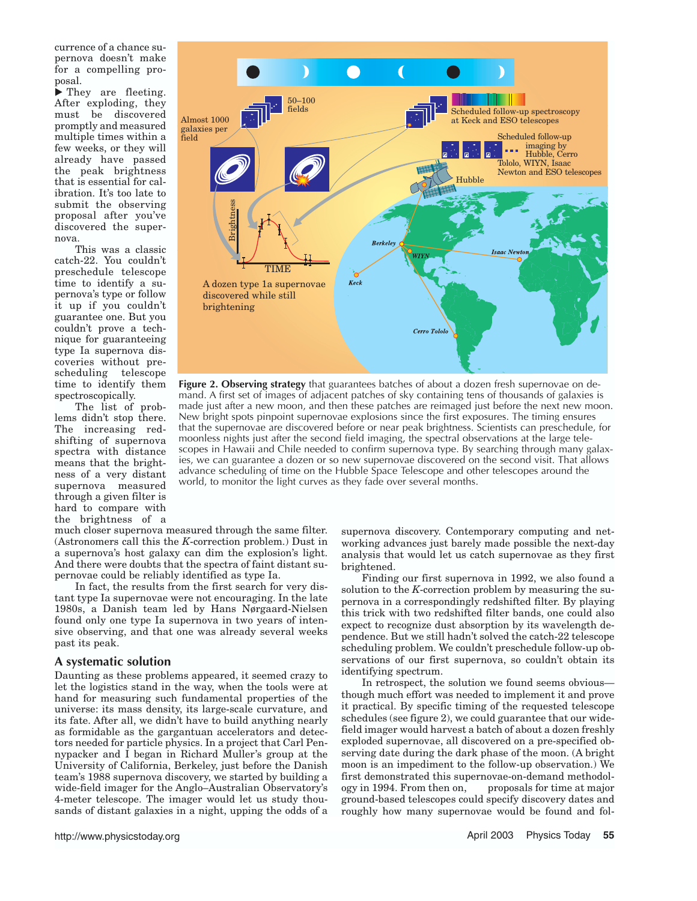currence of a chance supernova doesn't make for a compelling proposal.

▶ They are fleeting. After exploding, they must be discovered promptly and measured multiple times within a few weeks, or they will already have passed the peak brightness that is essential for calibration. It's too late to submit the observing proposal after you've discovered the supernova.

This was a classic catch-22. You couldn't preschedule telescope time to identify a supernova's type or follow it up if you couldn't guarantee one. But you couldn't prove a technique for guaranteeing type Ia supernova discoveries without prescheduling telescope time to identify them spectroscopically.

The list of problems didn't stop there. The increasing redshifting of supernova spectra with distance means that the brightness of a very distant supernova measured through a given filter is hard to compare with the brightness of a

50–100 fields Scheduled follow-up spectroscopy Almost 1000 at Keck and ESO telescopes galaxies per Scheduled follow-up field imaging by Hubble, Cerro Tololo, WIYN, Isaac Newton and ESO telescopes Hubble Brightness **Berkeley** Isaac New wry) **TIME** Keck A dozen type 1a supernovae discovered while still brightening Cerro Tololo

**Figure 2. Observing strategy** that guarantees batches of about a dozen fresh supernovae on demand. A first set of images of adjacent patches of sky containing tens of thousands of galaxies is made just after a new moon, and then these patches are reimaged just before the next new moon. New bright spots pinpoint supernovae explosions since the first exposures. The timing ensures that the supernovae are discovered before or near peak brightness. Scientists can preschedule, for moonless nights just after the second field imaging, the spectral observations at the large telescopes in Hawaii and Chile needed to confirm supernova type. By searching through many galaxies, we can guarantee a dozen or so new supernovae discovered on the second visit. That allows advance scheduling of time on the Hubble Space Telescope and other telescopes around the world, to monitor the light curves as they fade over several months.

much closer supernova measured through the same filter. (Astronomers call this the *K*-correction problem.) Dust in a supernova's host galaxy can dim the explosion's light. And there were doubts that the spectra of faint distant supernovae could be reliably identified as type Ia.

In fact, the results from the first search for very distant type Ia supernovae were not encouraging. In the late 1980s, a Danish team led by Hans Nørgaard-Nielsen found only one type Ia supernova in two years of intensive observing, and that one was already several weeks past its peak.

#### **A systematic solution**

Daunting as these problems appeared, it seemed crazy to let the logistics stand in the way, when the tools were at hand for measuring such fundamental properties of the universe: its mass density, its large-scale curvature, and its fate. After all, we didn't have to build anything nearly as formidable as the gargantuan accelerators and detectors needed for particle physics. In a project that Carl Pennypacker and I began in Richard Muller's group at the University of California, Berkeley, just before the Danish team's 1988 supernova discovery, we started by building a wide-field imager for the Anglo–Australian Observatory's 4-meter telescope. The imager would let us study thousands of distant galaxies in a night, upping the odds of a supernova discovery. Contemporary computing and networking advances just barely made possible the next-day analysis that would let us catch supernovae as they first brightened.

Finding our first supernova in 1992, we also found a solution to the *K*-correction problem by measuring the supernova in a correspondingly redshifted filter. By playing this trick with two redshifted filter bands, one could also expect to recognize dust absorption by its wavelength dependence. But we still hadn't solved the catch-22 telescope scheduling problem. We couldn't preschedule follow-up observations of our first supernova, so couldn't obtain its identifying spectrum.

In retrospect, the solution we found seems obvious though much effort was needed to implement it and prove it practical. By specific timing of the requested telescope schedules (see figure 2), we could guarantee that our widefield imager would harvest a batch of about a dozen freshly exploded supernovae, all discovered on a pre-specified observing date during the dark phase of the moon. (A bright moon is an impediment to the follow-up observation.) We first demonstrated this supernovae-on-demand methodol-<br>ogy in 1994. From then on, proposals for time at major proposals for time at major ground-based telescopes could specify discovery dates and roughly how many supernovae would be found and fol-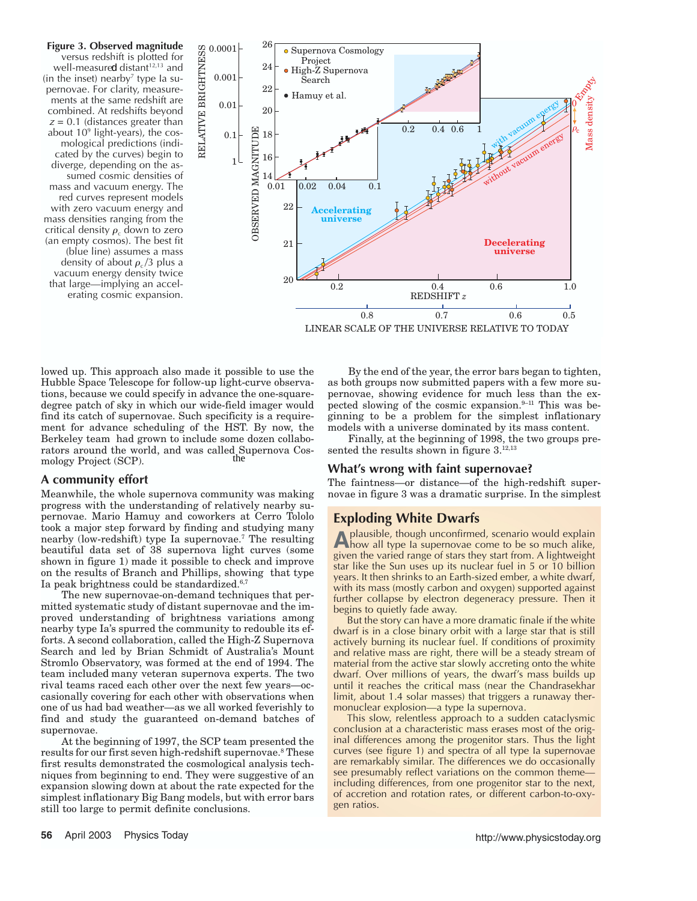**Figure 3. Observed magnitude** versus redshift is plotted for well-measure**d** distant<sup>12,13</sup> and (in the inset) nearby<sup> $7$ </sup> type Ia supernovae. For clarity, measurements at the same redshift are combined. At redshifts beyond  $z = 0.1$  (distances greater than about  $10<sup>9</sup>$  light-years), the cosmological predictions (indicated by the curves) begin to diverge, depending on the assumed cosmic densities of mass and vacuum energy. The red curves represent models with zero vacuum energy and mass densities ranging from the critical density  $\rho_c$  down to zero (an empty cosmos). The best fit (blue line) assumes a mass density of about  $\rho_c$ /3 plus a vacuum energy density twice that large—implying an accelerating cosmic expansion.



LINEAR SCALE OF THE UNIVERSE RELATIVE TO TODAY

lowed up. This approach also made it possible to use the Hubble Space Telescope for follow-up light-curve observations, because we could specify in advance the one-squaredegree patch of sky in which our wide-field imager would find its catch of supernovae. Such specificity is a requirement for advance scheduling of the HST. By now, the Berkeley team, had grown to include some dozen collaborators around the world, and was called Supernova Cos-the mology Project (SCP).

## **A community effort**

Meanwhile, the whole supernova community was making progress with the understanding of relatively nearby supernovae. Mario Hamuy and coworkers at Cerro Tololo took a major step forward by finding and studying many nearby (low-redshift) type Ia supernovae.7 The resulting beautiful data set of 38 supernova light curves (some shown in figure 1) made it possible to check and improve on the results of Branch and Phillips, showing that type Ia peak brightness could be standardized.6,7

The new supernovae-on-demand techniques that permitted systematic study of distant supernovae and the improved understanding of brightness variations among nearby type Ia's spurred the community to redouble its efforts. A second collaboration, called the High-Z Supernova Search and led by Brian Schmidt of Australia's Mount Stromlo Observatory, was formed at the end of 1994. The team included many veteran supernova experts. The two rival teams raced each other over the next few years—occasionally covering for each other with observations when one of us had bad weather—as we all worked feverishly to find and study the guaranteed on-demand batches of supernovae.

At the beginning of 1997, the SCP team presented the results for our first seven high-redshift supernovae.<sup>8</sup> These first results demonstrated the cosmological analysis techniques from beginning to end. They were suggestive of an expansion slowing down at about the rate expected for the simplest inflationary Big Bang models, but with error bars still too large to permit definite conclusions.

By the end of the year, the error bars began to tighten, as both groups now submitted papers with a few more supernovae, showing evidence for much less than the expected slowing of the cosmic expansion. $9-11$  This was beginning to be a problem for the simplest inflationary models with a universe dominated by its mass content.

Finally, at the beginning of 1998, the two groups presented the results shown in figure 3.12,13

## **What's wrong with faint supernovae?**

The faintness—or distance—of the high-redshift supernovae in figure 3 was a dramatic surprise. In the simplest

## **Exploding White Dwarfs**

**A**plausible, though unconfirmed, scenario would explain how all type Ia supernovae come to be so much alike, given the varied range of stars they start from. A lightweight star like the Sun uses up its nuclear fuel in 5 or 10 billion years. It then shrinks to an Earth-sized ember, a white dwarf, with its mass (mostly carbon and oxygen) supported against further collapse by electron degeneracy pressure. Then it begins to quietly fade away.

But the story can have a more dramatic finale if the white dwarf is in a close binary orbit with a large star that is still actively burning its nuclear fuel. If conditions of proximity and relative mass are right, there will be a steady stream of material from the active star slowly accreting onto the white dwarf. Over millions of years, the dwarf's mass builds up until it reaches the critical mass (near the Chandrasekhar limit, about 1.4 solar masses) that triggers a runaway thermonuclear explosion—a type Ia supernova.

This slow, relentless approach to a sudden cataclysmic conclusion at a characteristic mass erases most of the original differences among the progenitor stars. Thus the light curves (see figure 1) and spectra of all type Ia supernovae are remarkably similar. The differences we do occasionally see presumably reflect variations on the common theme including differences, from one progenitor star to the next, of accretion and rotation rates, or different carbon-to-oxygen ratios.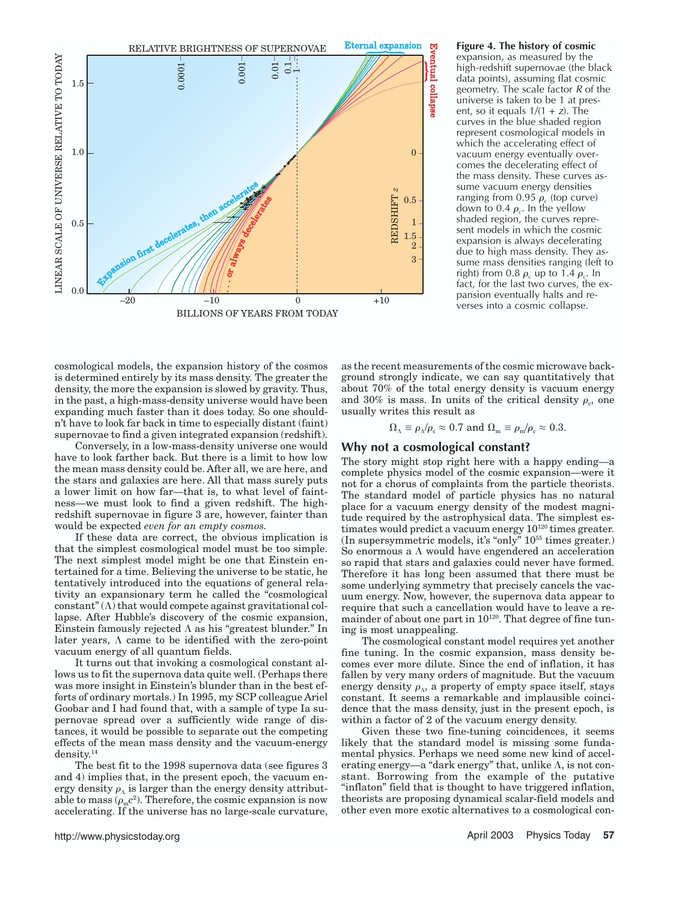

**Figure 4. The history of cosmic**  expansion, as measured by the high-redshift supernovae (the black data points), assuming flat cosmic geometry. The scale factor  *of the* universe is taken to be 1 at present, so it equals  $1/(1 + z)$ . The curves in the blue shaded region represent cosmological models in which the accelerating effect of vacuum energy eventually overcomes the decelerating effect of the mass density. These curves assume vacuum energy densities ranging from 0.95  $\rho_c$  (top curve) down to 0.4  $\rho_c$ . In the yellow shaded region, the curves represent models in which the cosmic expansion is always decelerating due to high mass density. They assume mass densities ranging (left to right) from 0.8  $\rho_c$  up to 1.4  $\rho_c$ . In fact, for the last two curves, the expansion eventually halts and reverses into a cosmic collapse.

cosmological models, the expansion history of the cosmos is determined entirely by its mass density. The greater the density, the more the expansion is slowed by gravity. Thus, in the past, a high-mass-density universe would have been expanding much faster than it does today. So one shouldn't have to look far back in time to especially distant (faint) supernovae to find a given integrated expansion (redshift).

Conversely, in a low-mass-density universe one would have to look farther back. But there is a limit to how low the mean mass density could be. After all, we are here, and the stars and galaxies are here. All that mass surely puts a lower limit on how far—that is, to what level of faintness—we must look to find a given redshift. The highredshift supernovae in figure 3 are, however, fainter than would be expected *even for an empty cosmos.*

If these data are correct, the obvious implication is that the simplest cosmological model must be too simple. The next simplest model might be one that Einstein entertained for a time. Believing the universe to be static, he tentatively introduced into the equations of general relativity an expansionary term he called the "cosmological constant"  $(\Lambda)$  that would compete against gravitational collapse. After Hubble's discovery of the cosmic expansion, Einstein famously rejected  $\Lambda$  as his "greatest blunder." In later years,  $\Lambda$  came to be identified with the zero-point vacuum energy of all quantum fields.

It turns out that invoking a cosmological constant allows us to fit the supernova data quite well. (Perhaps there was more insight in Einstein's blunder than in the best efforts of ordinary mortals.) In 1995, my SCP colleague Ariel Goobar and I had found that, with a sample of type Ia supernovae spread over a sufficiently wide range of distances, it would be possible to separate out the competing effects of the mean mass density and the vacuum-energy density.14

The best fit to the 1998 supernova data (see figures 3 and 4) implies that, in the present epoch, the vacuum energy density  $\rho_{\Lambda}$  is larger than the energy density attributable to mass  $(\rho_m c^2)$ . Therefore, the cosmic expansion is now accelerating. If the universe has no large-scale curvature,

as the recent measurements of the cosmic microwave background strongly indicate, we can say quantitatively that about 70% of the total energy density is vacuum energy and 30% is mass. In units of the critical density  $\rho_c$ , one usually writes this result as

 $\Omega_{\Lambda}\equiv\rho_{\Lambda}/\rho_{\rm c}\approx 0.7\,\,\text{and}\,\,\Omega_{\rm m}\equiv\rho_{\rm m}/\rho_{\rm c}\approx 0.3.$ 

## **Why not a cosmological constant?**

The story might stop right here with a happy ending—a complete physics model of the cosmic expansion—were it not for a chorus of complaints from the particle theorists. The standard model of particle physics has no natural place for a vacuum energy density of the modest magnitude required by the astrophysical data. The simplest estimates would predict a vacuum energy  $10^{120}$  times greater. (In supersymmetric models, it's "only"  $10^{55}$  times greater.) So enormous a  $\Lambda$  would have engendered an acceleration so rapid that stars and galaxies could never have formed. Therefore it has long been assumed that there must be some underlying symmetry that precisely cancels the vacuum energy. Now, however, the supernova data appear to require that such a cancellation would have to leave a remainder of about one part in  $10^{120}$ . That degree of fine tuning is most unappealing.

The cosmological constant model requires yet another fine tuning. In the cosmic expansion, mass density becomes ever more dilute. Since the end of inflation, it has fallen by very many orders of magnitude. But the vacuum energy density  $\rho_{\Lambda}$ , a property of empty space itself, stays constant. It seems a remarkable and implausible coincidence that the mass density, just in the present epoch, is within a factor of 2 of the vacuum energy density.

Given these two fine-tuning coincidences, it seems likely that the standard model is missing some fundamental physics. Perhaps we need some new kind of accelerating energy—a "dark energy" that, unlike  $\Lambda$ , is not constant. Borrowing from the example of the putative "inflaton" field that is thought to have triggered inflation, theorists are proposing dynamical scalar-field models and other even more exotic alternatives to a cosmological con-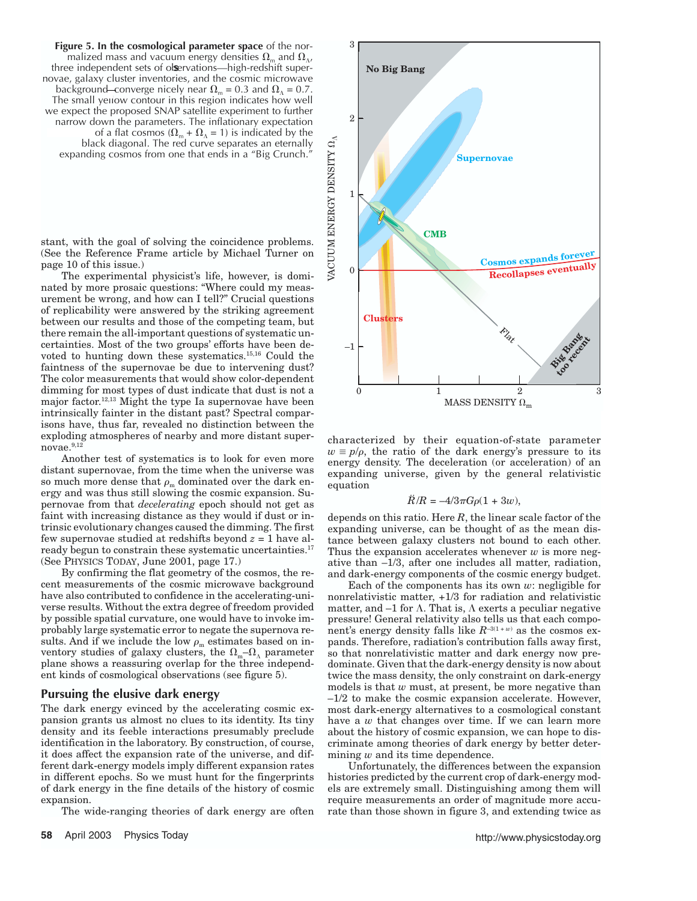**Figure 5. In the cosmological parameter space** of the normalized mass and vacuum energy densities  $\Omega_m$  and  $\Omega_{\Lambda}$ , three independent sets of obervations—high-redshift supernovae, galaxy cluster inventories, and the cosmic microwave background–converge nicely near  $\Omega_m = 0.3$  and  $\Omega_{\Lambda} = 0.7$ . The small yetlow contour in this region indicates how well we expect the proposed SNAP satellite experiment to further narrow down the parameters. The inflationary expectation of a flat cosmos ( $\Omega_m + \Omega_{\Lambda} = 1$ ) is indicated by the black diagonal. The red curve separates an eternally expanding cosmos from one that ends in a "Big Crunch."

stant, with the goal of solving the coincidence problems. (See the Reference Frame article by Michael Turner on page 10 of this issue.)

The experimental physicist's life, however, is dominated by more prosaic questions: "Where could my measurement be wrong, and how can I tell?" Crucial questions of replicability were answered by the striking agreement between our results and those of the competing team, but there remain the all-important questions of systematic uncertainties. Most of the two groups' efforts have been devoted to hunting down these systematics.15,16 Could the faintness of the supernovae be due to intervening dust? The color measurements that would show color-dependent dimming for most types of dust indicate that dust is not a major factor.12,13 Might the type Ia supernovae have been intrinsically fainter in the distant past? Spectral comparisons have, thus far, revealed no distinction between the exploding atmospheres of nearby and more distant supernovae. $9,12$ 

Another test of systematics is to look for even more distant supernovae, from the time when the universe was so much more dense that  $\rho_m$  dominated over the dark energy and was thus still slowing the cosmic expansion. Supernovae from that *decelerating* epoch should not get as faint with increasing distance as they would if dust or intrinsic evolutionary changes caused the dimming. The first few supernovae studied at redshifts beyond *z* = 1 have already begun to constrain these systematic uncertainties.<sup>17</sup> (See PHYSICS TODAY, June 2001, page 17.)

By confirming the flat geometry of the cosmos, the recent measurements of the cosmic microwave background have also contributed to confidence in the accelerating-universe results. Without the extra degree of freedom provided by possible spatial curvature, one would have to invoke improbably large systematic error to negate the supernova results. And if we include the low  $\rho_m$  estimates based on inventory studies of galaxy clusters, the  $\Omega_m-\Omega_\Lambda$  parameter plane shows a reassuring overlap for the three independent kinds of cosmological observations (see figure 5).

## **Pursuing the elusive dark energy**

The dark energy evinced by the accelerating cosmic expansion grants us almost no clues to its identity. Its tiny density and its feeble interactions presumably preclude identification in the laboratory. By construction, of course, it does affect the expansion rate of the universe, and different dark-energy models imply different expansion rates in different epochs. So we must hunt for the fingerprints of dark energy in the fine details of the history of cosmic expansion.

The wide-ranging theories of dark energy are often



characterized by their equation-of-state parameter  $w \equiv p/\rho$ , the ratio of the dark energy's pressure to its energy density. The deceleration (or acceleration) of an expanding universe, given by the general relativistic equation

#### $\ddot{R}/R = -4/3\pi G\rho(1 + 3w),$

depends on this ratio. Here *R*, the linear scale factor of the expanding universe, can be thought of as the mean distance between galaxy clusters not bound to each other. Thus the expansion accelerates whenever *w* is more negative than –1/3, after one includes all matter, radiation, and dark-energy components of the cosmic energy budget.

Each of the components has its own *w*: negligible for nonrelativistic matter, +1/3 for radiation and relativistic matter, and  $-1$  for  $\Lambda$ . That is,  $\Lambda$  exerts a peculiar negative pressure! General relativity also tells us that each component's energy density falls like  $R^{-3(1+w)}$  as the cosmos expands. Therefore, radiation's contribution falls away first, so that nonrelativistic matter and dark energy now predominate. Given that the dark-energy density is now about twice the mass density, the only constraint on dark-energy models is that *w* must, at present, be more negative than  $-1/2$  to make the cosmic expansion accelerate. However, most dark-energy alternatives to a cosmological constant have a *w* that changes over time. If we can learn more about the history of cosmic expansion, we can hope to discriminate among theories of dark energy by better determining *w* and its time dependence.

Unfortunately, the differences between the expansion histories predicted by the current crop of dark-energy models are extremely small. Distinguishing among them will require measurements an order of magnitude more accurate than those shown in figure 3, and extending twice as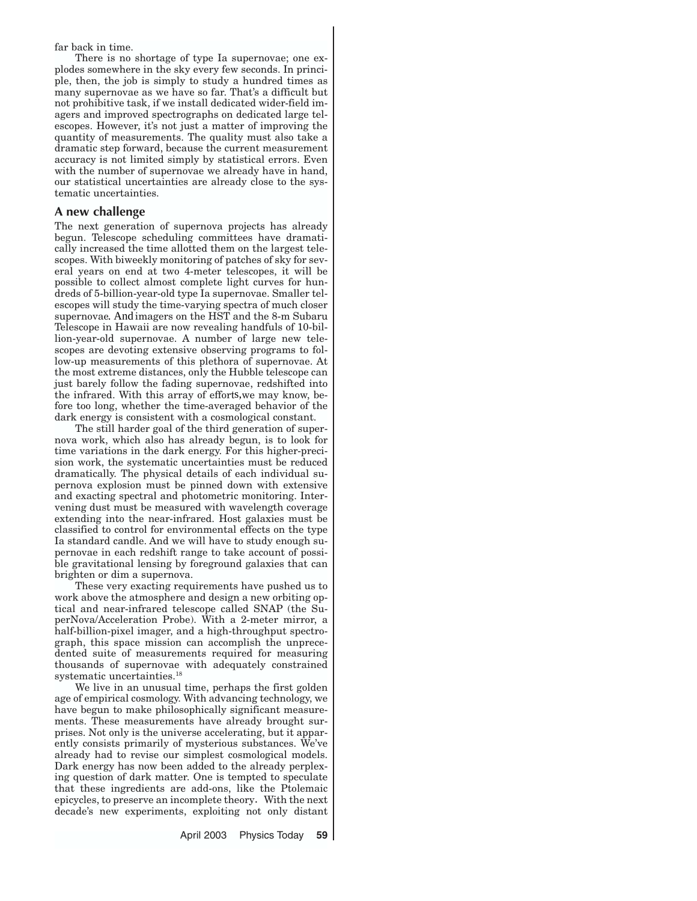far back in time.

There is no shortage of type Ia supernovae; one explodes somewhere in the sky every few seconds. In principle, then, the job is simply to study a hundred times as many supernovae as we have so far. That's a difficult but not prohibitive task, if we install dedicated wider-field imagers and improved spectrographs on dedicated large telescopes. However, it's not just a matter of improving the quantity of measurements. The quality must also take a dramatic step forward, because the current measurement accuracy is not limited simply by statistical errors. Even with the number of supernovae we already have in hand, our statistical uncertainties are already close to the systematic uncertainties.

### **A new challenge**

The next generation of supernova projects has already begun. Telescope scheduling committees have dramatically increased the time allotted them on the largest telescopes. With biweekly monitoring of patches of sky for several years on end at two 4-meter telescopes, it will be possible to collect almost complete light curves for hundreds of 5-billion-year-old type Ia supernovae. Smaller telescopes will study the time-varying spectra of much closer supernovae. And imagers on the HST and the 8-m Subaru Telescope in Hawaii are now revealing handfuls of 10-billion-year-old supernovae. A number of large new telescopes are devoting extensive observing programs to follow-up measurements of this plethora of supernovae. At the most extreme distances, only the Hubble telescope can just barely follow the fading supernovae, redshifted into the infrared. With this array of efforts, we may know, before too long, whether the time-averaged behavior of the dark energy is consistent with a cosmological constant.

The still harder goal of the third generation of supernova work, which also has already begun, is to look for time variations in the dark energy. For this higher-precision work, the systematic uncertainties must be reduced dramatically. The physical details of each individual supernova explosion must be pinned down with extensive and exacting spectral and photometric monitoring. Intervening dust must be measured with wavelength coverage extending into the near-infrared. Host galaxies must be classified to control for environmental effects on the type Ia standard candle. And we will have to study enough supernovae in each redshift range to take account of possible gravitational lensing by foreground galaxies that can brighten or dim a supernova.

These very exacting requirements have pushed us to work above the atmosphere and design a new orbiting optical and near-infrared telescope called SNAP (the SuperNova/Acceleration Probe). With a 2-meter mirror, a half-billion-pixel imager, and a high-throughput spectrograph, this space mission can accomplish the unprecedented suite of measurements required for measuring thousands of supernovae with adequately constrained systematic uncertainties.<sup>18</sup>

We live in an unusual time, perhaps the first golden age of empirical cosmology. With advancing technology, we have begun to make philosophically significant measurements. These measurements have already brought surprises. Not only is the universe accelerating, but it apparently consists primarily of mysterious substances. We've already had to revise our simplest cosmological models. Dark energy has now been added to the already perplexing question of dark matter. One is tempted to speculate that these ingredients are add-ons, like the Ptolemaic epicycles, to preserve an incomplete theory. With the next decade's new experiments, exploiting not only distant

April 2003 Physics Today **59**